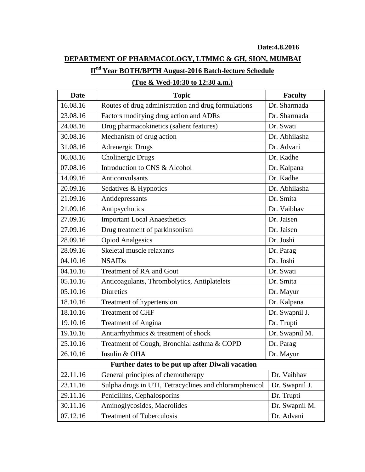## **DEPARTMENT OF PHARMACOLOGY, LTMMC & GH, SION, MUMBAI**

## **IInd Year BOTH/BPTH August-2016 Batch-lecture Schedule**

| <b>Date</b>                                      | <b>Topic</b>                                           | <b>Faculty</b> |  |
|--------------------------------------------------|--------------------------------------------------------|----------------|--|
| 16.08.16                                         | Routes of drug administration and drug formulations    | Dr. Sharmada   |  |
| 23.08.16                                         | Factors modifying drug action and ADRs                 | Dr. Sharmada   |  |
| 24.08.16                                         | Drug pharmacokinetics (salient features)               | Dr. Swati      |  |
| 30.08.16                                         | Mechanism of drug action                               | Dr. Abhilasha  |  |
| 31.08.16                                         | <b>Adrenergic Drugs</b>                                | Dr. Advani     |  |
| 06.08.16                                         | Cholinergic Drugs                                      | Dr. Kadhe      |  |
| 07.08.16                                         | Introduction to CNS & Alcohol                          | Dr. Kalpana    |  |
| 14.09.16                                         | Anticonvulsants                                        | Dr. Kadhe      |  |
| 20.09.16                                         | Sedatives & Hypnotics                                  | Dr. Abhilasha  |  |
| 21.09.16                                         | Antidepressants                                        | Dr. Smita      |  |
| 21.09.16                                         | Antipsychotics                                         | Dr. Vaibhav    |  |
| 27.09.16                                         | <b>Important Local Anaesthetics</b>                    | Dr. Jaisen     |  |
| 27.09.16                                         | Drug treatment of parkinsonism                         | Dr. Jaisen     |  |
| 28.09.16                                         | <b>Opiod Analgesics</b>                                | Dr. Joshi      |  |
| 28.09.16                                         | Skeletal muscle relaxants                              | Dr. Parag      |  |
| 04.10.16                                         | <b>NSAIDs</b>                                          | Dr. Joshi      |  |
| 04.10.16                                         | <b>Treatment of RA and Gout</b>                        | Dr. Swati      |  |
| 05.10.16                                         | Anticoagulants, Thrombolytics, Antiplatelets           | Dr. Smita      |  |
| 05.10.16                                         | <b>Diuretics</b>                                       | Dr. Mayur      |  |
| 18.10.16                                         | Treatment of hypertension                              | Dr. Kalpana    |  |
| 18.10.16                                         | <b>Treatment of CHF</b>                                | Dr. Swapnil J. |  |
| 19.10.16                                         | <b>Treatment of Angina</b>                             | Dr. Trupti     |  |
| 19.10.16                                         | Antiarrhythmics & treatment of shock                   | Dr. Swapnil M. |  |
| 25.10.16                                         | Treatment of Cough, Bronchial asthma & COPD            | Dr. Parag      |  |
| 26.10.16                                         | Insulin & OHA                                          | Dr. Mayur      |  |
| Further dates to be put up after Diwali vacation |                                                        |                |  |
| 22.11.16                                         | General principles of chemotherapy                     | Dr. Vaibhav    |  |
| 23.11.16                                         | Sulpha drugs in UTI, Tetracyclines and chloramphenicol | Dr. Swapnil J. |  |
| 29.11.16                                         | Penicillins, Cephalosporins                            | Dr. Trupti     |  |
| 30.11.16                                         | Aminoglycosides, Macrolides                            | Dr. Swapnil M. |  |
| 07.12.16                                         | <b>Treatment of Tuberculosis</b>                       | Dr. Advani     |  |

## **(Tue & Wed-10:30 to 12:30 a.m.)**